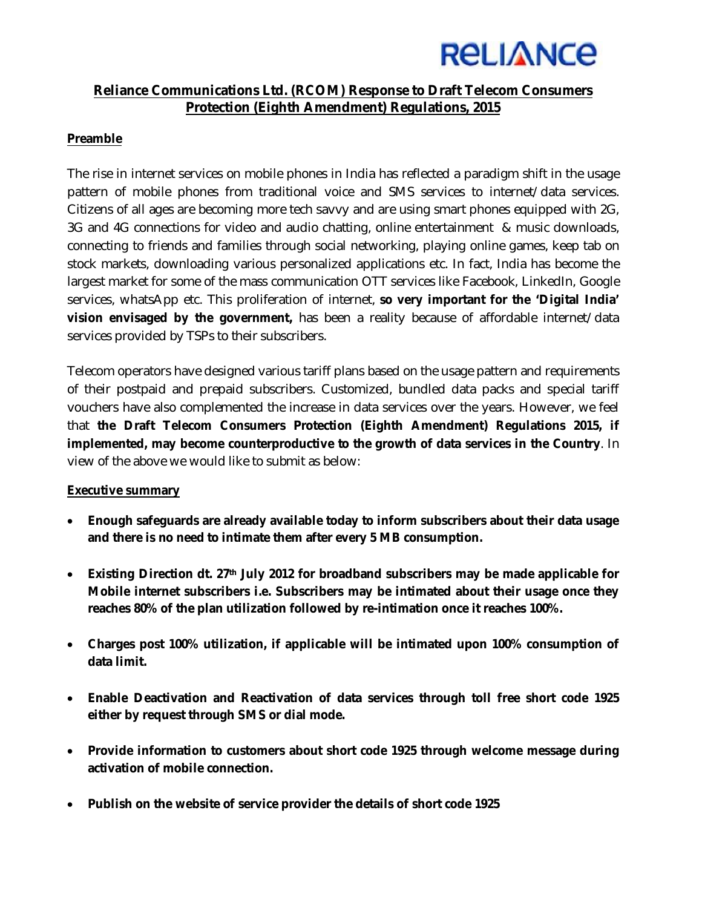

# **Reliance Communications Ltd. (RCOM) Response to Draft Telecom Consumers Protection (Eighth Amendment) Regulations, 2015**

### **Preamble**

The rise in internet services on mobile phones in India has reflected a paradigm shift in the usage pattern of mobile phones from traditional voice and SMS services to internet/data services. Citizens of all ages are becoming more tech savvy and are using smart phones equipped with 2G, 3G and 4G connections for video and audio chatting, online entertainment & music downloads, connecting to friends and families through social networking, playing online games, keep tab on stock markets, downloading various personalized applications etc. In fact, India has become the largest market for some of the mass communication OTT services like Facebook, LinkedIn, Google services, whatsApp etc. This proliferation of internet, **so very important for the 'Digital India' vision envisaged by the government,** has been a reality because of affordable internet/data services provided by TSPs to their subscribers.

Telecom operators have designed various tariff plans based on the usage pattern and requirements of their postpaid and prepaid subscribers. Customized, bundled data packs and special tariff vouchers have also complemented the increase in data services over the years. However, we feel that **the Draft Telecom Consumers Protection (Eighth Amendment) Regulations 2015, if implemented, may become counterproductive to the growth of data services in the Country**. In view of the above we would like to submit as below:

#### **Executive summary**

- **Enough safeguards are already available today to inform subscribers about their data usage and there is no need to intimate them after every 5 MB consumption.**
- **Existing Direction dt. 27th July 2012 for broadband subscribers may be made applicable for Mobile internet subscribers i.e. Subscribers may be intimated about their usage once they reaches 80% of the plan utilization followed by re-intimation once it reaches 100%.**
- **Charges post 100% utilization, if applicable will be intimated upon 100% consumption of data limit.**
- **Enable Deactivation and Reactivation of data services through toll free short code 1925 either by request through SMS or dial mode.**
- **Provide information to customers about short code 1925 through welcome message during activation of mobile connection.**
- **Publish on the website of service provider the details of short code 1925**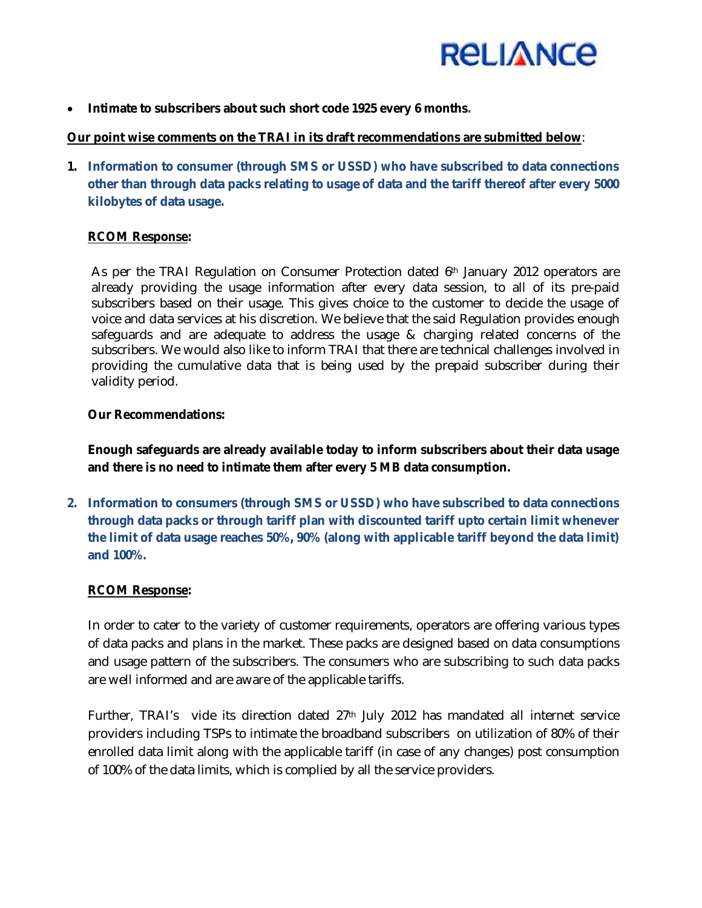

**Intimate to subscribers about such short code 1925 every 6 months.**

### **Our point wise comments on the TRAI in its draft recommendations are submitted below**:

**1. Information to consumer (through SMS or USSD) who have subscribed to data connections other than through data packs relating to usage of data and the tariff thereof after every 5000 kilobytes of data usage.**

### **RCOM Response:**

As per the TRAI Regulation on Consumer Protection dated 6<sup>th</sup> January 2012 operators are already providing the usage information after every data session, to all of its pre-paid subscribers based on their usage. This gives choice to the customer to decide the usage of voice and data services at his discretion. We believe that the said Regulation provides enough safeguards and are adequate to address the usage & charging related concerns of the subscribers. We would also like to inform TRAI that there are technical challenges involved in providing the cumulative data that is being used by the prepaid subscriber during their validity period.

#### **Our Recommendations:**

**Enough safeguards are already available today to inform subscribers about their data usage and there is no need to intimate them after every 5 MB data consumption.**

**2. Information to consumers (through SMS or USSD) who have subscribed to data connections through data packs or through tariff plan with discounted tariff upto certain limit whenever the limit of data usage reaches 50%, 90% (along with applicable tariff beyond the data limit) and 100%.**

#### **RCOM Response:**

In order to cater to the variety of customer requirements, operators are offering various types of data packs and plans in the market. These packs are designed based on data consumptions and usage pattern of the subscribers. The consumers who are subscribing to such data packs are well informed and are aware of the applicable tariffs.

Further, TRAI's vide its direction dated 27<sup>th</sup> July 2012 has mandated all internet service providers including TSPs to intimate the broadband subscribers on utilization of 80% of their enrolled data limit along with the applicable tariff (in case of any changes) post consumption of 100% of the data limits, which is complied by all the service providers.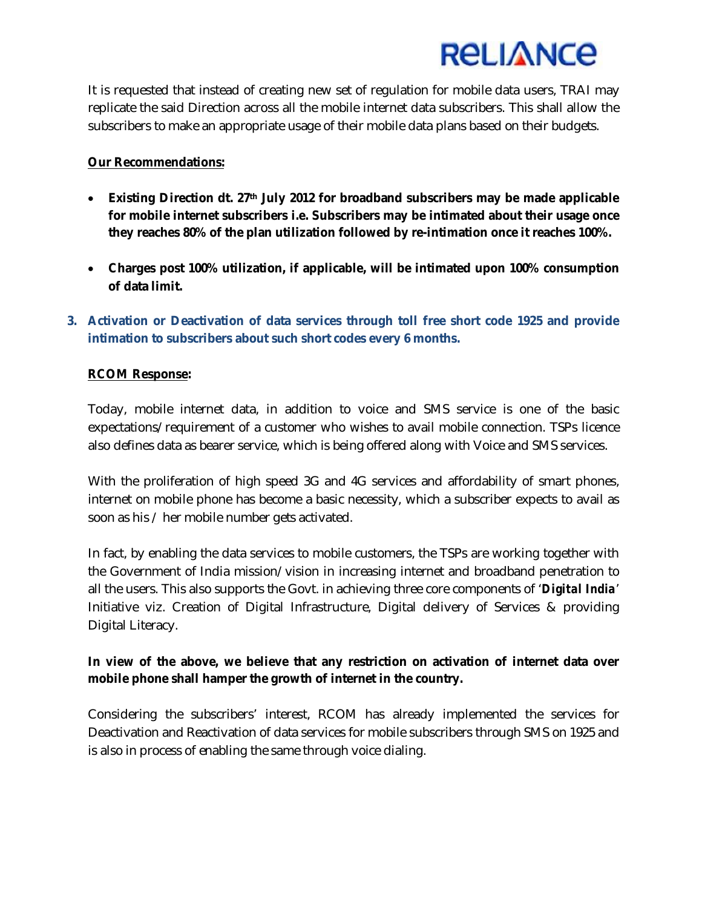

It is requested that instead of creating new set of regulation for mobile data users, TRAI may replicate the said Direction across all the mobile internet data subscribers. This shall allow the subscribers to make an appropriate usage of their mobile data plans based on their budgets.

#### **Our Recommendations:**

- **Existing Direction dt. 27th July 2012 for broadband subscribers may be made applicable for mobile internet subscribers i.e. Subscribers may be intimated about their usage once they reaches 80% of the plan utilization followed by re-intimation once it reaches 100%.**
- **Charges post 100% utilization, if applicable, will be intimated upon 100% consumption of data limit.**
- **3. Activation or Deactivation of data services through toll free short code 1925 and provide intimation to subscribers about such short codes every 6 months.**

#### **RCOM Response:**

Today, mobile internet data, in addition to voice and SMS service is one of the basic expectations/requirement of a customer who wishes to avail mobile connection. TSPs licence also defines data as bearer service, which is being offered along with Voice and SMS services.

With the proliferation of high speed 3G and 4G services and affordability of smart phones, internet on mobile phone has become a basic necessity, which a subscriber expects to avail as soon as his / her mobile number gets activated.

In fact, by enabling the data services to mobile customers, the TSPs are working together with the Government of India mission/vision in increasing internet and broadband penetration to all the users. This also supports the Govt. in achieving three core components of '*Digital India*' Initiative viz. Creation of Digital Infrastructure, Digital delivery of Services & providing Digital Literacy.

## **In view of the above, we believe that any restriction on activation of internet data over mobile phone shall hamper the growth of internet in the country.**

Considering the subscribers' interest, RCOM has already implemented the services for Deactivation and Reactivation of data services for mobile subscribers through SMS on 1925 and is also in process of enabling the same through voice dialing.